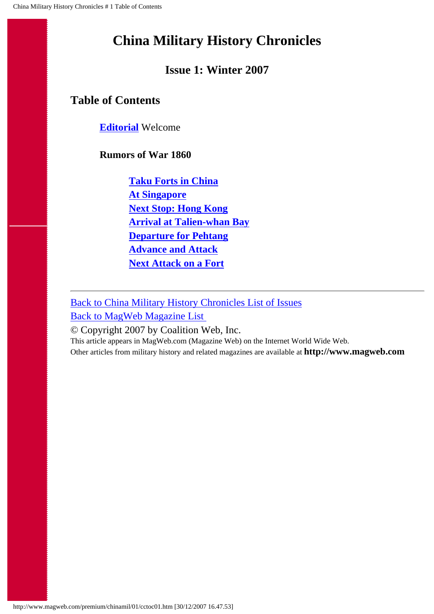### **Issue 1: Winter 2007**

### <span id="page-0-0"></span>**Table of Contents**

**[Editorial](#page-1-0)** Welcome

#### **Rumors of War 1860**

**[Taku Forts in China](#page-2-0) [At Singapore](#page-4-0) [Next Stop: Hong Kong](#page-6-0) [Arrival at Talien-whan Bay](#page-8-0) [Departure for Pehtang](#page-10-0) [Advance and Attack](#page-13-0) [Next Attack on a Fort](#page-16-0)**

[Back to China Military History Chronicles List of Issues](#page-18-0) [Back to MagWeb Magazine List](#page-19-0)

#### © Copyright 2007 by Coalition Web, Inc.

This article appears in MagWeb.com (Magazine Web) on the Internet World Wide Web.

Other articles from military history and related magazines are available at **http://www.magweb.com**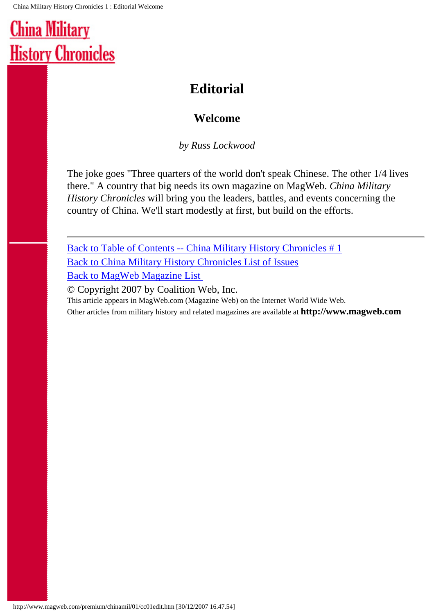## **Editorial**

### **Welcome**

*by Russ Lockwood*

<span id="page-1-0"></span>The joke goes "Three quarters of the world don't speak Chinese. The other 1/4 lives there." A country that big needs its own magazine on MagWeb. *China Military History Chronicles* will bring you the leaders, battles, and events concerning the country of China. We'll start modestly at first, but build on the efforts.

[Back to Table of Contents -- China Military History Chronicles # 1](#page-0-0) [Back to China Military History Chronicles List of Issues](#page-18-0) [Back to MagWeb Magazine List](#page-19-0)  © Copyright 2007 by Coalition Web, Inc.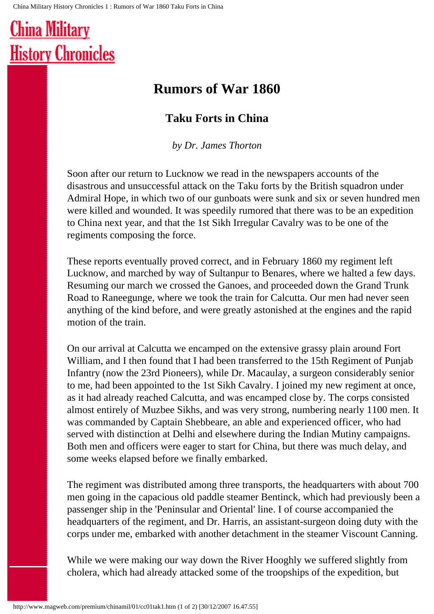### <span id="page-2-0"></span>**Rumors of War 1860**

### **Taku Forts in China**

*by Dr. James Thorton* 

Soon after our return to Lucknow we read in the newspapers accounts of the disastrous and unsuccessful attack on the Taku forts by the British squadron under Admiral Hope, in which two of our gunboats were sunk and six or seven hundred men were killed and wounded. It was speedily rumored that there was to be an expedition to China next year, and that the 1st Sikh Irregular Cavalry was to be one of the regiments composing the force.

These reports eventually proved correct, and in February 1860 my regiment left Lucknow, and marched by way of Sultanpur to Benares, where we halted a few days. Resuming our march we crossed the Ganoes, and proceeded down the Grand Trunk Road to Raneegunge, where we took the train for Calcutta. Our men had never seen anything of the kind before, and were greatly astonished at the engines and the rapid motion of the train.

On our arrival at Calcutta we encamped on the extensive grassy plain around Fort William, and I then found that I had been transferred to the 15th Regiment of Punjab Infantry (now the 23rd Pioneers), while Dr. Macaulay, a surgeon considerably senior to me, had been appointed to the 1st Sikh Cavalry. I joined my new regiment at once, as it had already reached Calcutta, and was encamped close by. The corps consisted almost entirely of Muzbee Sikhs, and was very strong, numbering nearly 1100 men. It was commanded by Captain Shebbeare, an able and experienced officer, who had served with distinction at Delhi and elsewhere during the Indian Mutiny campaigns. Both men and officers were eager to start for China, but there was much delay, and some weeks elapsed before we finally embarked.

The regiment was distributed among three transports, the headquarters with about 700 men going in the capacious old paddle steamer Bentinck, which had previously been a passenger ship in the 'Peninsular and Oriental' line. I of course accompanied the headquarters of the regiment, and Dr. Harris, an assistant-surgeon doing duty with the corps under me, embarked with another detachment in the steamer Viscount Canning.

While we were making our way down the River Hooghly we suffered slightly from cholera, which had already attacked some of the troopships of the expedition, but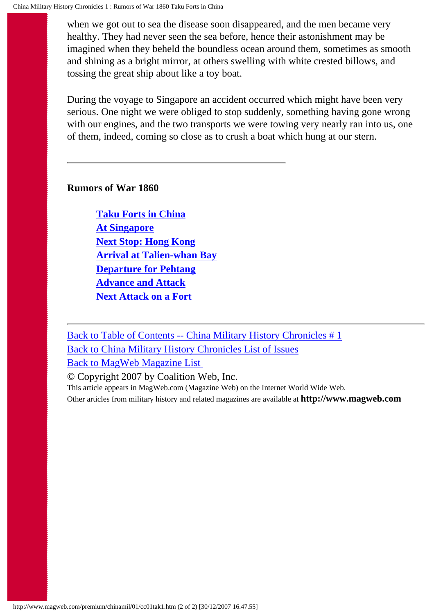when we got out to sea the disease soon disappeared, and the men became very healthy. They had never seen the sea before, hence their astonishment may be imagined when they beheld the boundless ocean around them, sometimes as smooth and shining as a bright mirror, at others swelling with white crested billows, and tossing the great ship about like a toy boat.

During the voyage to Singapore an accident occurred which might have been very serious. One night we were obliged to stop suddenly, something having gone wrong with our engines, and the two transports we were towing very nearly ran into us, one of them, indeed, coming so close as to crush a boat which hung at our stern.

**Rumors of War 1860**

**[Taku Forts in China](#page-2-0) [At Singapore](#page-4-0) [Next Stop: Hong Kong](#page-6-0) [Arrival at Talien-whan Bay](#page-8-0) [Departure for Pehtang](#page-10-0) [Advance and Attack](#page-13-0) [Next Attack on a Fort](#page-16-0)**

[Back to Table of Contents -- China Military History Chronicles # 1](#page-0-0) [Back to China Military History Chronicles List of Issues](#page-18-0) [Back to MagWeb Magazine List](#page-19-0) 

© Copyright 2007 by Coalition Web, Inc. This article appears in MagWeb.com (Magazine Web) on the Internet World Wide Web. Other articles from military history and related magazines are available at **http://www.magweb.com**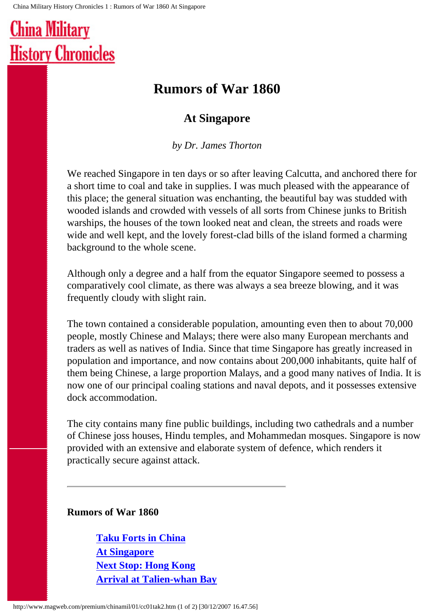### <span id="page-4-0"></span>**Rumors of War 1860**

### **At Singapore**

*by Dr. James Thorton*

We reached Singapore in ten days or so after leaving Calcutta, and anchored there for a short time to coal and take in supplies. I was much pleased with the appearance of this place; the general situation was enchanting, the beautiful bay was studded with wooded islands and crowded with vessels of all sorts from Chinese junks to British warships, the houses of the town looked neat and clean, the streets and roads were wide and well kept, and the lovely forest-clad bills of the island formed a charming background to the whole scene.

Although only a degree and a half from the equator Singapore seemed to possess a comparatively cool climate, as there was always a sea breeze blowing, and it was frequently cloudy with slight rain.

The town contained a considerable population, amounting even then to about 70,000 people, mostly Chinese and Malays; there were also many European merchants and traders as well as natives of India. Since that time Singapore has greatly increased in population and importance, and now contains about 200,000 inhabitants, quite half of them being Chinese, a large proportion Malays, and a good many natives of India. It is now one of our principal coaling stations and naval depots, and it possesses extensive dock accommodation.

The city contains many fine public buildings, including two cathedrals and a number of Chinese joss houses, Hindu temples, and Mohammedan mosques. Singapore is now provided with an extensive and elaborate system of defence, which renders it practically secure against attack.

### **Rumors of War 1860**

**[Taku Forts in China](#page-2-0) [At Singapore](#page-4-0) [Next Stop: Hong Kong](#page-6-0) [Arrival at Talien-whan Bay](#page-8-0)**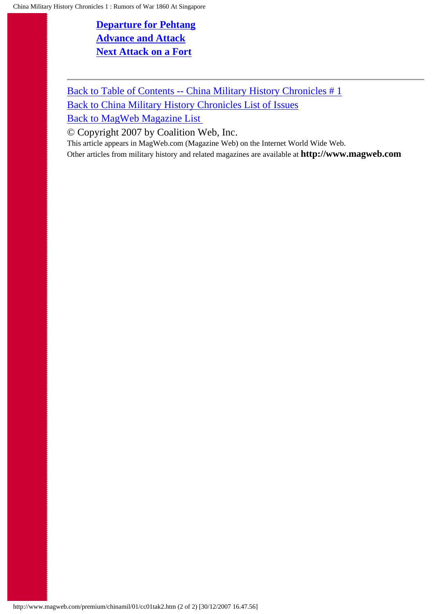**[Departure for Pehtang](#page-10-0) [Advance and Attack](#page-13-0) [Next Attack on a Fort](#page-16-0)**

[Back to Table of Contents -- China Military History Chronicles # 1](#page-0-0) [Back to China Military History Chronicles List of Issues](#page-18-0) [Back to MagWeb Magazine List](#page-19-0) 

© Copyright 2007 by Coalition Web, Inc.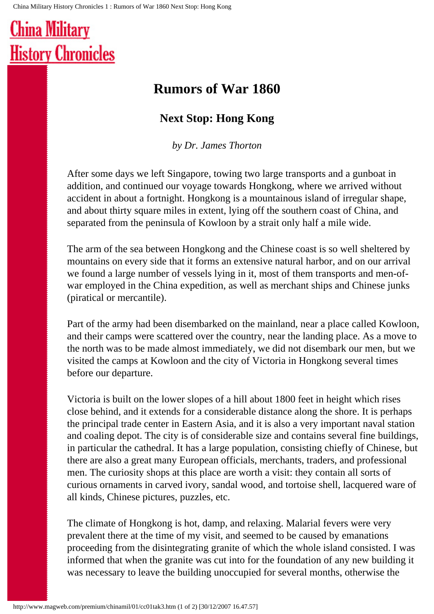### <span id="page-6-0"></span>**Rumors of War 1860**

### **Next Stop: Hong Kong**

*by Dr. James Thorton*

After some days we left Singapore, towing two large transports and a gunboat in addition, and continued our voyage towards Hongkong, where we arrived without accident in about a fortnight. Hongkong is a mountainous island of irregular shape, and about thirty square miles in extent, lying off the southern coast of China, and separated from the peninsula of Kowloon by a strait only half a mile wide.

The arm of the sea between Hongkong and the Chinese coast is so well sheltered by mountains on every side that it forms an extensive natural harbor, and on our arrival we found a large number of vessels lying in it, most of them transports and men-ofwar employed in the China expedition, as well as merchant ships and Chinese junks (piratical or mercantile).

Part of the army had been disembarked on the mainland, near a place called Kowloon, and their camps were scattered over the country, near the landing place. As a move to the north was to be made almost immediately, we did not disembark our men, but we visited the camps at Kowloon and the city of Victoria in Hongkong several times before our departure.

Victoria is built on the lower slopes of a hill about 1800 feet in height which rises close behind, and it extends for a considerable distance along the shore. It is perhaps the principal trade center in Eastern Asia, and it is also a very important naval station and coaling depot. The city is of considerable size and contains several fine buildings, in particular the cathedral. It has a large population, consisting chiefly of Chinese, but there are also a great many European officials, merchants, traders, and professional men. The curiosity shops at this place are worth a visit: they contain all sorts of curious ornaments in carved ivory, sandal wood, and tortoise shell, lacquered ware of all kinds, Chinese pictures, puzzles, etc.

The climate of Hongkong is hot, damp, and relaxing. Malarial fevers were very prevalent there at the time of my visit, and seemed to be caused by emanations proceeding from the disintegrating granite of which the whole island consisted. I was informed that when the granite was cut into for the foundation of any new building it was necessary to leave the building unoccupied for several months, otherwise the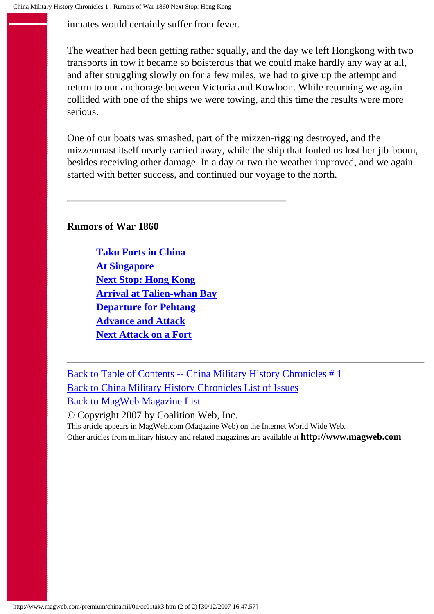inmates would certainly suffer from fever.

The weather had been getting rather squally, and the day we left Hongkong with two transports in tow it became so boisterous that we could make hardly any way at all, and after struggling slowly on for a few miles, we had to give up the attempt and return to our anchorage between Victoria and Kowloon. While returning we again collided with one of the ships we were towing, and this time the results were more serious.

One of our boats was smashed, part of the mizzen-rigging destroyed, and the mizzenmast itself nearly carried away, while the ship that fouled us lost her jib-boom, besides receiving other damage. In a day or two the weather improved, and we again started with better success, and continued our voyage to the north.

#### **Rumors of War 1860**

**[Taku Forts in China](#page-2-0) [At Singapore](#page-4-0) [Next Stop: Hong Kong](#page-6-0) [Arrival at Talien-whan Bay](#page-8-0) [Departure for Pehtang](#page-10-0) [Advance and Attack](#page-13-0) [Next Attack on a Fort](#page-16-0)**

[Back to Table of Contents -- China Military History Chronicles # 1](#page-0-0) [Back to China Military History Chronicles List of Issues](#page-18-0) [Back to MagWeb Magazine List](#page-19-0)  © Copyright 2007 by Coalition Web, Inc.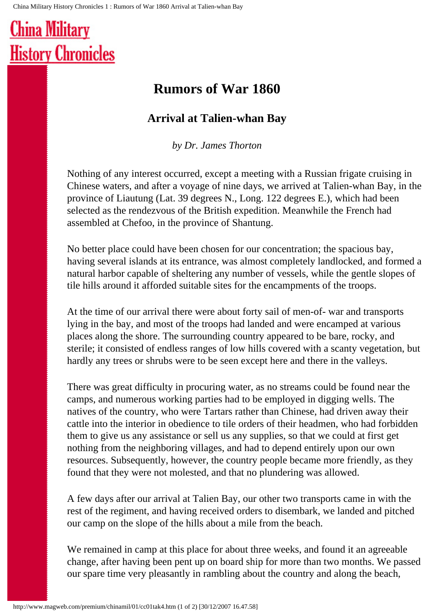### <span id="page-8-0"></span>**Rumors of War 1860**

### **Arrival at Talien-whan Bay**

*by Dr. James Thorton*

Nothing of any interest occurred, except a meeting with a Russian frigate cruising in Chinese waters, and after a voyage of nine days, we arrived at Talien-whan Bay, in the province of Liautung (Lat. 39 degrees N., Long. 122 degrees E.), which had been selected as the rendezvous of the British expedition. Meanwhile the French had assembled at Chefoo, in the province of Shantung.

No better place could have been chosen for our concentration; the spacious bay, having several islands at its entrance, was almost completely landlocked, and formed a natural harbor capable of sheltering any number of vessels, while the gentle slopes of tile hills around it afforded suitable sites for the encampments of the troops.

At the time of our arrival there were about forty sail of men-of- war and transports lying in the bay, and most of the troops had landed and were encamped at various places along the shore. The surrounding country appeared to be bare, rocky, and sterile; it consisted of endless ranges of low hills covered with a scanty vegetation, but hardly any trees or shrubs were to be seen except here and there in the valleys.

There was great difficulty in procuring water, as no streams could be found near the camps, and numerous working parties had to be employed in digging wells. The natives of the country, who were Tartars rather than Chinese, had driven away their cattle into the interior in obedience to tile orders of their headmen, who had forbidden them to give us any assistance or sell us any supplies, so that we could at first get nothing from the neighboring villages, and had to depend entirely upon our own resources. Subsequently, however, the country people became more friendly, as they found that they were not molested, and that no plundering was allowed.

A few days after our arrival at Talien Bay, our other two transports came in with the rest of the regiment, and having received orders to disembark, we landed and pitched our camp on the slope of the hills about a mile from the beach.

We remained in camp at this place for about three weeks, and found it an agreeable change, after having been pent up on board ship for more than two months. We passed our spare time very pleasantly in rambling about the country and along the beach,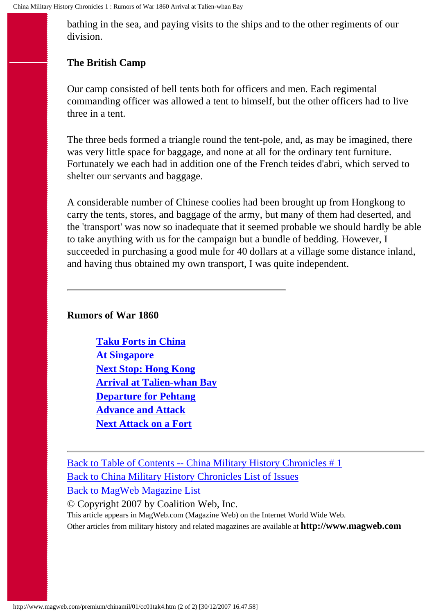bathing in the sea, and paying visits to the ships and to the other regiments of our division.

#### **The British Camp**

Our camp consisted of bell tents both for officers and men. Each regimental commanding officer was allowed a tent to himself, but the other officers had to live three in a tent.

The three beds formed a triangle round the tent-pole, and, as may be imagined, there was very little space for baggage, and none at all for the ordinary tent furniture. Fortunately we each had in addition one of the French teides d'abri, which served to shelter our servants and baggage.

A considerable number of Chinese coolies had been brought up from Hongkong to carry the tents, stores, and baggage of the army, but many of them had deserted, and the 'transport' was now so inadequate that it seemed probable we should hardly be able to take anything with us for the campaign but a bundle of bedding. However, I succeeded in purchasing a good mule for 40 dollars at a village some distance inland, and having thus obtained my own transport, I was quite independent.

**Rumors of War 1860**

**[Taku Forts in China](#page-2-0) [At Singapore](#page-4-0) [Next Stop: Hong Kong](#page-6-0) [Arrival at Talien-whan Bay](#page-8-0) [Departure for Pehtang](#page-10-0) [Advance and Attack](#page-13-0) [Next Attack on a Fort](#page-16-0)**

[Back to Table of Contents -- China Military History Chronicles # 1](#page-0-0) [Back to China Military History Chronicles List of Issues](#page-18-0) [Back to MagWeb Magazine List](#page-19-0) 

© Copyright 2007 by Coalition Web, Inc. This article appears in MagWeb.com (Magazine Web) on the Internet World Wide Web. Other articles from military history and related magazines are available at **http://www.magweb.com**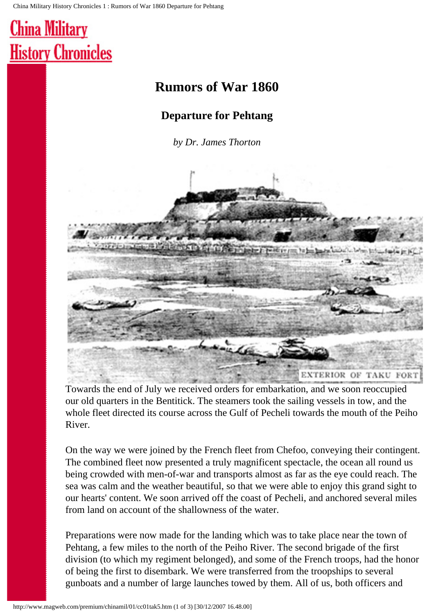### **Rumors of War 1860**

### **Departure for Pehtang**

*by Dr. James Thorton*

<span id="page-10-0"></span>

Towards the end of July we received orders for embarkation, and we soon reoccupied our old quarters in the Bentitick. The steamers took the sailing vessels in tow, and the whole fleet directed its course across the Gulf of Pecheli towards the mouth of the Peiho River.

On the way we were joined by the French fleet from Chefoo, conveying their contingent. The combined fleet now presented a truly magnificent spectacle, the ocean all round us being crowded with men-of-war and transports almost as far as the eye could reach. The sea was calm and the weather beautiful, so that we were able to enjoy this grand sight to our hearts' content. We soon arrived off the coast of Pecheli, and anchored several miles from land on account of the shallowness of the water.

Preparations were now made for the landing which was to take place near the town of Pehtang, a few miles to the north of the Peiho River. The second brigade of the first division (to which my regiment belonged), and some of the French troops, had the honor of being the first to disembark. We were transferred from the troopships to several gunboats and a number of large launches towed by them. All of us, both officers and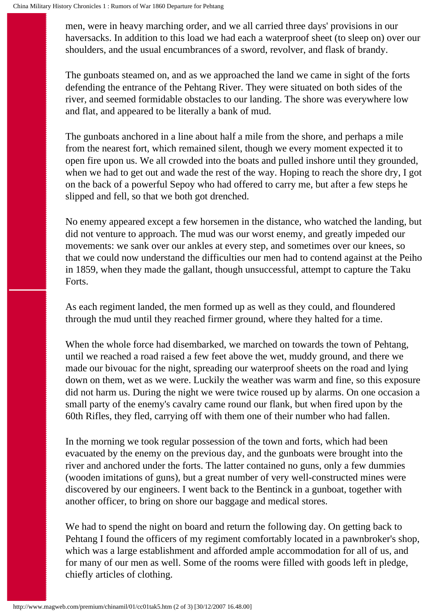men, were in heavy marching order, and we all carried three days' provisions in our haversacks. In addition to this load we had each a waterproof sheet (to sleep on) over our shoulders, and the usual encumbrances of a sword, revolver, and flask of brandy.

The gunboats steamed on, and as we approached the land we came in sight of the forts defending the entrance of the Pehtang River. They were situated on both sides of the river, and seemed formidable obstacles to our landing. The shore was everywhere low and flat, and appeared to be literally a bank of mud.

The gunboats anchored in a line about half a mile from the shore, and perhaps a mile from the nearest fort, which remained silent, though we every moment expected it to open fire upon us. We all crowded into the boats and pulled inshore until they grounded, when we had to get out and wade the rest of the way. Hoping to reach the shore dry, I got on the back of a powerful Sepoy who had offered to carry me, but after a few steps he slipped and fell, so that we both got drenched.

No enemy appeared except a few horsemen in the distance, who watched the landing, but did not venture to approach. The mud was our worst enemy, and greatly impeded our movements: we sank over our ankles at every step, and sometimes over our knees, so that we could now understand the difficulties our men had to contend against at the Peiho in 1859, when they made the gallant, though unsuccessful, attempt to capture the Taku Forts.

As each regiment landed, the men formed up as well as they could, and floundered through the mud until they reached firmer ground, where they halted for a time.

When the whole force had disembarked, we marched on towards the town of Pehtang, until we reached a road raised a few feet above the wet, muddy ground, and there we made our bivouac for the night, spreading our waterproof sheets on the road and lying down on them, wet as we were. Luckily the weather was warm and fine, so this exposure did not harm us. During the night we were twice roused up by alarms. On one occasion a small party of the enemy's cavalry came round our flank, but when fired upon by the 60th Rifles, they fled, carrying off with them one of their number who had fallen.

In the morning we took regular possession of the town and forts, which had been evacuated by the enemy on the previous day, and the gunboats were brought into the river and anchored under the forts. The latter contained no guns, only a few dummies (wooden imitations of guns), but a great number of very well-constructed mines were discovered by our engineers. I went back to the Bentinck in a gunboat, together with another officer, to bring on shore our baggage and medical stores.

We had to spend the night on board and return the following day. On getting back to Pehtang I found the officers of my regiment comfortably located in a pawnbroker's shop, which was a large establishment and afforded ample accommodation for all of us, and for many of our men as well. Some of the rooms were filled with goods left in pledge, chiefly articles of clothing.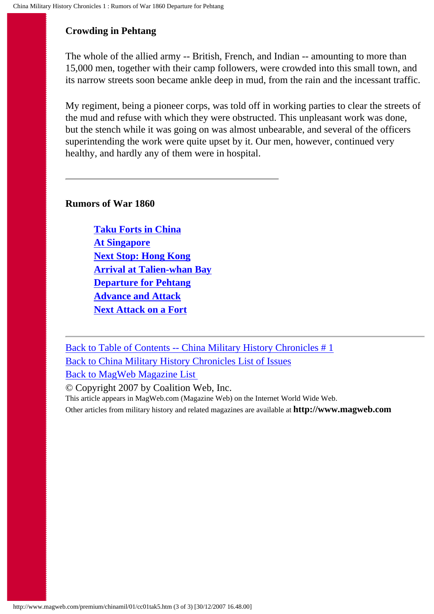### **Crowding in Pehtang**

The whole of the allied army -- British, French, and Indian -- amounting to more than 15,000 men, together with their camp followers, were crowded into this small town, and its narrow streets soon became ankle deep in mud, from the rain and the incessant traffic.

My regiment, being a pioneer corps, was told off in working parties to clear the streets of the mud and refuse with which they were obstructed. This unpleasant work was done, but the stench while it was going on was almost unbearable, and several of the officers superintending the work were quite upset by it. Our men, however, continued very healthy, and hardly any of them were in hospital.

#### **Rumors of War 1860**

**[Taku Forts in China](#page-2-0) [At Singapore](#page-4-0) [Next Stop: Hong Kong](#page-6-0) [Arrival at Talien-whan Bay](#page-8-0) [Departure for Pehtang](#page-10-0) [Advance and Attack](#page-13-0) [Next Attack on a Fort](#page-16-0)**

[Back to Table of Contents -- China Military History Chronicles # 1](#page-0-0) [Back to China Military History Chronicles List of Issues](#page-18-0) [Back to MagWeb Magazine List](#page-19-0) 

© Copyright 2007 by Coalition Web, Inc.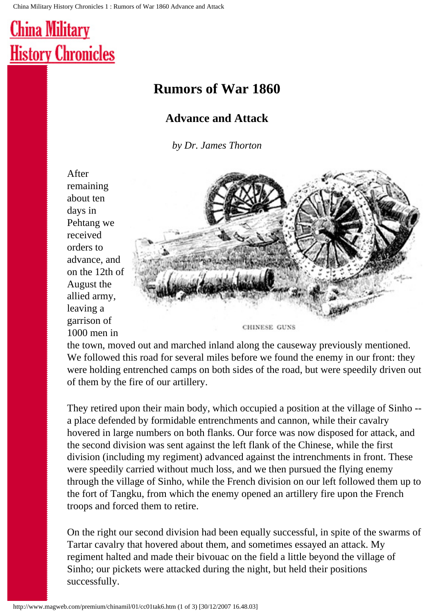### <span id="page-13-0"></span>**Rumors of War 1860**

### **Advance and Attack**

*by Dr. James Thorton*

After remaining about ten days in Pehtang we received orders to advance, and on the 12th of August the allied army, leaving a garrison of 1000 men in



the town, moved out and marched inland along the causeway previously mentioned. We followed this road for several miles before we found the enemy in our front: they were holding entrenched camps on both sides of the road, but were speedily driven out of them by the fire of our artillery.

They retired upon their main body, which occupied a position at the village of Sinho - a place defended by formidable entrenchments and cannon, while their cavalry hovered in large numbers on both flanks. Our force was now disposed for attack, and the second division was sent against the left flank of the Chinese, while the first division (including my regiment) advanced against the intrenchments in front. These were speedily carried without much loss, and we then pursued the flying enemy through the village of Sinho, while the French division on our left followed them up to the fort of Tangku, from which the enemy opened an artillery fire upon the French troops and forced them to retire.

On the right our second division had been equally successful, in spite of the swarms of Tartar cavalry that hovered about them, and sometimes essayed an attack. My regiment halted and made their bivouac on the field a little beyond the village of Sinho; our pickets were attacked during the night, but held their positions successfully.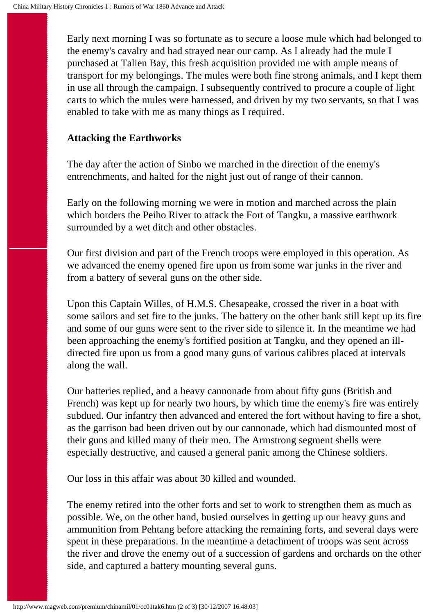Early next morning I was so fortunate as to secure a loose mule which had belonged to the enemy's cavalry and had strayed near our camp. As I already had the mule I purchased at Talien Bay, this fresh acquisition provided me with ample means of transport for my belongings. The mules were both fine strong animals, and I kept them in use all through the campaign. I subsequently contrived to procure a couple of light carts to which the mules were harnessed, and driven by my two servants, so that I was enabled to take with me as many things as I required.

#### **Attacking the Earthworks**

The day after the action of Sinbo we marched in the direction of the enemy's entrenchments, and halted for the night just out of range of their cannon.

Early on the following morning we were in motion and marched across the plain which borders the Peiho River to attack the Fort of Tangku, a massive earthwork surrounded by a wet ditch and other obstacles.

Our first division and part of the French troops were employed in this operation. As we advanced the enemy opened fire upon us from some war junks in the river and from a battery of several guns on the other side.

Upon this Captain Willes, of H.M.S. Chesapeake, crossed the river in a boat with some sailors and set fire to the junks. The battery on the other bank still kept up its fire and some of our guns were sent to the river side to silence it. In the meantime we had been approaching the enemy's fortified position at Tangku, and they opened an illdirected fire upon us from a good many guns of various calibres placed at intervals along the wall.

Our batteries replied, and a heavy cannonade from about fifty guns (British and French) was kept up for nearly two hours, by which time the enemy's fire was entirely subdued. Our infantry then advanced and entered the fort without having to fire a shot, as the garrison bad been driven out by our cannonade, which had dismounted most of their guns and killed many of their men. The Armstrong segment shells were especially destructive, and caused a general panic among the Chinese soldiers.

Our loss in this affair was about 30 killed and wounded.

The enemy retired into the other forts and set to work to strengthen them as much as possible. We, on the other hand, busied ourselves in getting up our heavy guns and ammunition from Pehtang before attacking the remaining forts, and several days were spent in these preparations. In the meantime a detachment of troops was sent across the river and drove the enemy out of a succession of gardens and orchards on the other side, and captured a battery mounting several guns.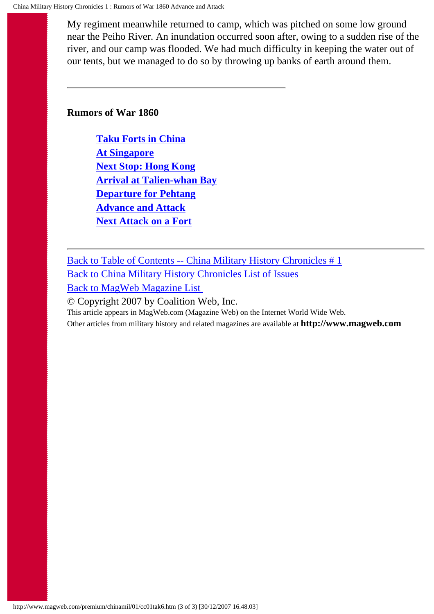My regiment meanwhile returned to camp, which was pitched on some low ground near the Peiho River. An inundation occurred soon after, owing to a sudden rise of the river, and our camp was flooded. We had much difficulty in keeping the water out of our tents, but we managed to do so by throwing up banks of earth around them.

#### **Rumors of War 1860**

**[Taku Forts in China](#page-2-0) [At Singapore](#page-4-0) [Next Stop: Hong Kong](#page-6-0) [Arrival at Talien-whan Bay](#page-8-0) [Departure for Pehtang](#page-10-0) [Advance and Attack](#page-13-0) [Next Attack on a Fort](#page-16-0)**

[Back to Table of Contents -- China Military History Chronicles # 1](#page-0-0) [Back to China Military History Chronicles List of Issues](#page-18-0) [Back to MagWeb Magazine List](#page-19-0)  © Copyright 2007 by Coalition Web, Inc.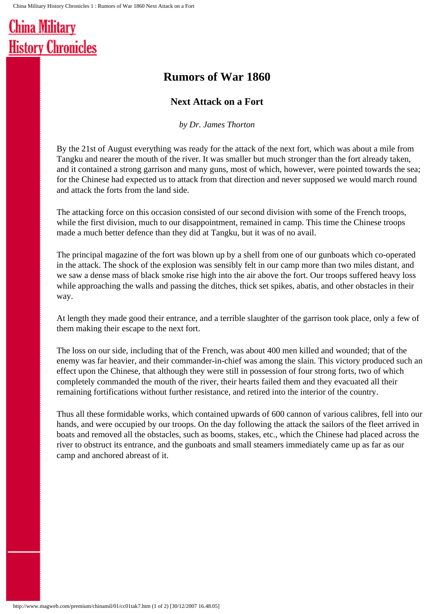### **Rumors of War 1860**

#### **Next Attack on a Fort**

*by Dr. James Thorton*

<span id="page-16-0"></span>By the 21st of August everything was ready for the attack of the next fort, which was about a mile from Tangku and nearer the mouth of the river. It was smaller but much stronger than the fort already taken, and it contained a strong garrison and many guns, most of which, however, were pointed towards the sea; for the Chinese had expected us to attack from that direction and never supposed we would march round and attack the forts from the land side.

The attacking force on this occasion consisted of our second division with some of the French troops, while the first division, much to our disappointment, remained in camp. This time the Chinese troops made a much better defence than they did at Tangku, but it was of no avail.

The principal magazine of the fort was blown up by a shell from one of our gunboats which co-operated in the attack. The shock of the explosion was sensibly felt in our camp more than two miles distant, and we saw a dense mass of black smoke rise high into the air above the fort. Our troops suffered heavy loss while approaching the walls and passing the ditches, thick set spikes, abatis, and other obstacles in their way.

At length they made good their entrance, and a terrible slaughter of the garrison took place, only a few of them making their escape to the next fort.

The loss on our side, including that of the French, was about 400 men killed and wounded; that of the enemy was far heavier, and their commander-in-chief was among the slain. This victory produced such an effect upon the Chinese, that although they were still in possession of four strong forts, two of which completely commanded the mouth of the river, their hearts failed them and they evacuated all their remaining fortifications without further resistance, and retired into the interior of the country.

Thus all these formidable works, which contained upwards of 600 cannon of various calibres, fell into our hands, and were occupied by our troops. On the day following the attack the sailors of the fleet arrived in boats and removed all the obstacles, such as booms, stakes, etc., which the Chinese had placed across the river to obstruct its entrance, and the gunboats and small steamers immediately came up as far as our camp and anchored abreast of it.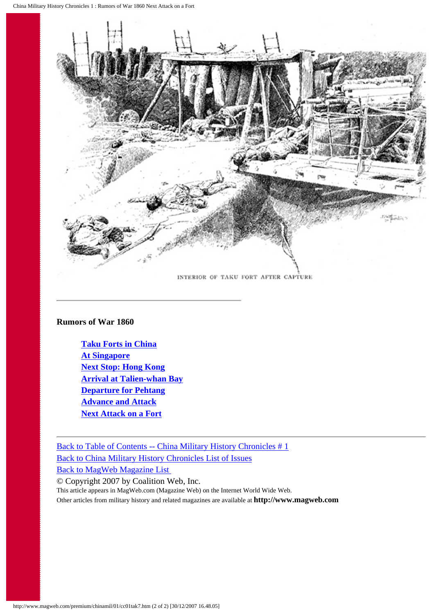

#### **Rumors of War 1860**

**[Taku Forts in China](#page-2-0) [At Singapore](#page-4-0) [Next Stop: Hong Kong](#page-6-0) [Arrival at Talien-whan Bay](#page-8-0) [Departure for Pehtang](#page-10-0) [Advance and Attack](#page-13-0) [Next Attack on a Fort](#page-16-0)**

[Back to Table of Contents -- China Military History Chronicles # 1](#page-0-0) [Back to China Military History Chronicles List of Issues](#page-18-0) [Back to MagWeb Magazine List](#page-19-0) 

© Copyright 2007 by Coalition Web, Inc.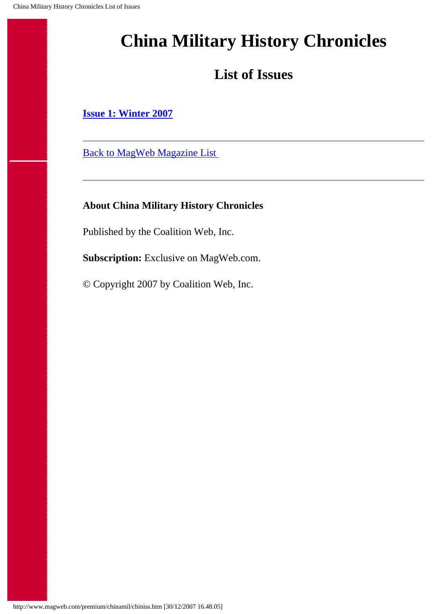### **List of Issues**

<span id="page-18-0"></span>**[Issue 1: Winter 2007](#page-0-0)**

[Back to MagWeb Magazine List](#page-19-0)

### **About China Military History Chronicles**

Published by the Coalition Web, Inc.

**Subscription:** Exclusive on MagWeb.com.

© Copyright 2007 by Coalition Web, Inc.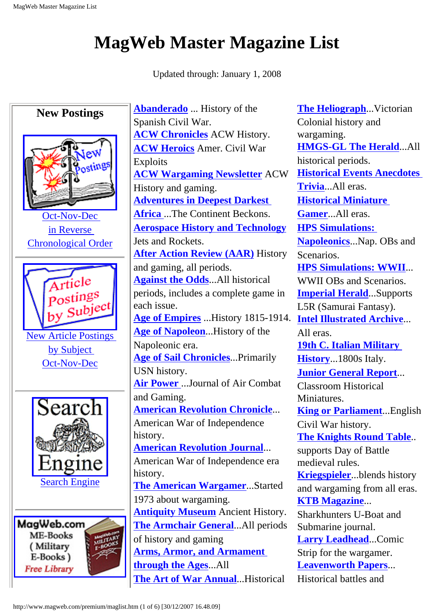## <span id="page-19-0"></span>**MagWeb Master Magazine List**

Updated through: January 1, 2008



**[The Heliograph](http://www.magweb.com/premium/helio/helioiss.htm)**...Victorian Colonial history and wargaming. **[HMGS-GL The Herald](http://www.magweb.com/premium/herald/heraiss.htm)**...All historical periods. **[Historical Events Anecdotes](http://www.magweb.com/premium/heat/heatiss.htm)  [Trivia](http://www.magweb.com/premium/heat/heatiss.htm)**...All eras. **[Historical Miniature](http://www.magweb.com/premium/hmgmag/hmgiss.htm)  [Gamer](http://www.magweb.com/premium/hmgmag/hmgiss.htm)**...All eras. **[HPS Simulations:](http://www.magweb.com/premium/hpssimna/hpsnsiss.htm)  [Napoleonics](http://www.magweb.com/premium/hpssimna/hpsnsiss.htm)**...Nap. OBs and **Scenarios [HPS Simulations: WWII](http://www.magweb.com/premium/hpssim/hpssiss.htm)**... WWII OBs and Scenarios. **[Imperial Herald](http://www.magweb.com/premium/impher/ihiss.htm)**...Supports L5R (Samurai Fantasy). **[Intel Illustrated Archive](http://www.magweb.com/premium/intel/intliss.htm)**... All eras. **[19th C. Italian Military](http://www.magweb.com/premium/itamil19/italiss.htm)  [History](http://www.magweb.com/premium/itamil19/italiss.htm)**...1800s Italy. **[Junior General Report](http://www.magweb.com/premium/juniorg/jgiss.htm)**... Classroom Historical Miniatures. **[King or Parliament](http://www.magweb.com/premium/korp/kpiss.htm)**...English Civil War history. **[The Knights Round Table](http://www.magweb.com/premium/krt/krtiss.htm)**.. supports Day of Battle medieval rules. **[Kriegspieler](http://www.magweb.com/premium/kriegspi/krieiss.htm)**...blends history and wargaming from all eras. **[KTB Magazine](http://www.magweb.com/premium/shark/shiss.htm)**... Sharkhunters U-Boat and Submarine journal. **[Larry Leadhead](http://www.magweb.com/premium/leadhead/leadiss.htm)**...Comic Strip for the wargamer. **[Leavenworth Papers](http://www.magweb.com/premium/leavenwo/leaviss.htm)**... Historical battles and

http://www.magweb.com/premium/maglist.htm (1 of 6) [30/12/2007 16.48.09]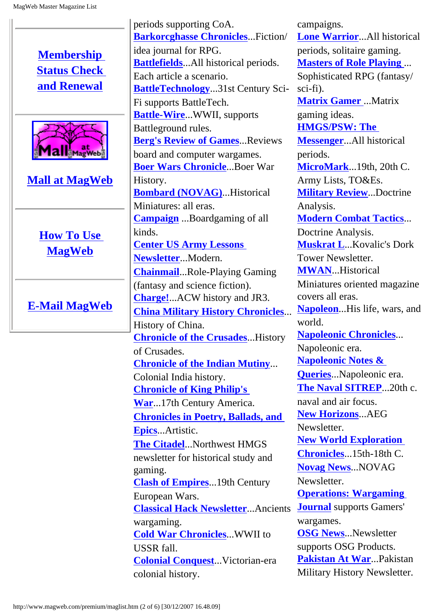$\mathbf{I}$ 

| <b>Membership</b>                  | $\mu$ . $\mu$                                                 |
|------------------------------------|---------------------------------------------------------------|
|                                    | <b>Barkorcghasse Chronicles Fiction/</b>                      |
|                                    | idea journal for RPG.                                         |
|                                    | <b>Battlefields</b> All historical periods.                   |
| <b>Status Check</b>                | Each article a scenario.                                      |
| and Renewal                        | <b>BattleTechnology31st Century Sci-</b>                      |
| MagWebs<br><b>Mall at MagWeb</b>   | Fi supports BattleTech.                                       |
|                                    | <b>Battle-WireWWII</b> , supports                             |
|                                    | Battleground rules.                                           |
|                                    | <b>Berg's Review of Games Reviews</b>                         |
|                                    | board and computer wargames.                                  |
|                                    | <b>Boer Wars ChronicleBoer War</b>                            |
|                                    | History.                                                      |
|                                    | <b>Bombard (NOVAG)Historical</b>                              |
|                                    | Miniatures: all eras.                                         |
| <b>How To Use</b><br><b>MagWeb</b> | <b>Campaign</b> Boardgaming of all                            |
|                                    | kinds.                                                        |
|                                    | <b>Center US Army Lessons</b>                                 |
|                                    | NewsletterModern.                                             |
|                                    | <b>ChainmailRole-Playing Gaming</b>                           |
| <b>E-Mail MagWeb</b>               | (fantasy and science fiction).                                |
|                                    | <b>Charge!ACW</b> history and JR3.                            |
|                                    | <b>China Military History Chronicles</b>                      |
|                                    |                                                               |
|                                    | History of China.<br><b>Chronicle of the Crusades History</b> |
|                                    | of Crusades                                                   |
|                                    | <b>Chronicle of the Indian Mutiny</b>                         |
|                                    | Colonial India history.                                       |
|                                    |                                                               |
|                                    | <b>Chronicle of King Philip's</b>                             |
|                                    | War17th Century America.                                      |
|                                    | <b>Chronicles in Poetry, Ballads, and</b>                     |
|                                    | EpicsArtistic.                                                |
|                                    | <b>The CitadelNorthwest HMGS</b>                              |
|                                    | newsletter for historical study and                           |
|                                    | gaming.                                                       |
|                                    | <b>Clash of Empires19th Century</b>                           |
|                                    | European Wars.                                                |
|                                    | <b>Classical Hack Newsletter</b> Ancients                     |
|                                    | wargaming.                                                    |
|                                    | <b>Cold War Chronicles WWII to</b>                            |
|                                    | <b>USSR</b> fall.                                             |
|                                    | <b>Colonial Conquest.</b> Victorian-era                       |
|                                    | colonial history.                                             |
|                                    |                                                               |

periods supporting CoA.

campaigns. **[Lone Warrior](http://www.magweb.com/premium/lonewarr/lwiss.htm)**...All historical periods, solitaire gaming. **[Masters of Role Playing](http://www.magweb.com/premium/masters/morpiss.htm)** ... Sophisticated RPG (fantasy/  $-$  sci-fi). **[Matrix Gamer](http://www.magweb.com/premium/matrix/mgiss.htm)** ...Matrix gaming ideas. **[HMGS/PSW: The](http://www.magweb.com/premium/messen/messiss.htm) [Messenger](http://www.magweb.com/premium/messen/messiss.htm)**...All historical periods. **[MicroMark](http://www.magweb.com/premium/micromar/mmiss.htm)**...19th, 20th C. Army Lists, TO&Es. **[Military Review](http://www.magweb.com/premium/milrevw/milriss.htm)**...Doctrine Analysis. **[Modern Combat Tactics](http://www.magweb.com/premium/modern/mctiss.htm)**... Doctrine Analysis. **[Muskrat L](http://www.magweb.com/premium/muskratl/mliss.htm)**...Kovalic's Dork Tower Newsletter. **[MWAN](http://www.magweb.com/premium/mwan/mwaniss.htm)**...Historical Miniatures oriented magazine covers all eras. **[Napoleon](http://www.magweb.com/premium/napoleon/napiss.htm)**...His life, wars, and world. **[Napoleonic Chronicles](http://www.magweb.com/premium/napchron/napciss.htm)**... Napoleonic era. **[Napoleonic Notes &](http://www.magweb.com/premium/ageofnap/aoniss.htm)  [Queries](http://www.magweb.com/premium/ageofnap/aoniss.htm)**...Napoleonic era. **[The Naval SITREP](http://www.magweb.com/premium/navsit/nsitiss.htm)**...20th c. naval and air focus. **[New Horizons](http://www.magweb.com/premium/newhoriz/nhiss.htm)**...AEG Newsletter. **[New World Exploration](http://www.magweb.com/premium/newworld/newwiss.htm) [Chronicles](http://www.magweb.com/premium/newworld/newwiss.htm)**...15th-18th C. **[Novag News](http://www.magweb.com/premium/novaggc/novagiss.htm)**...NOVAG Newsletter. **[Operations: Wargaming](http://www.magweb.com/premium/operatio/operiss.htm) [Journal](http://www.magweb.com/premium/operatio/operiss.htm)** supports Gamers' wargames. **[OSG News](http://www.magweb.com/premium/osgnews/osgiss.htm)**...Newsletter supports OSG Products. **[Pakistan At War](http://www.magweb.com/premium/pakatwar/pakiss.htm)**...Pakistan Military History Newsletter.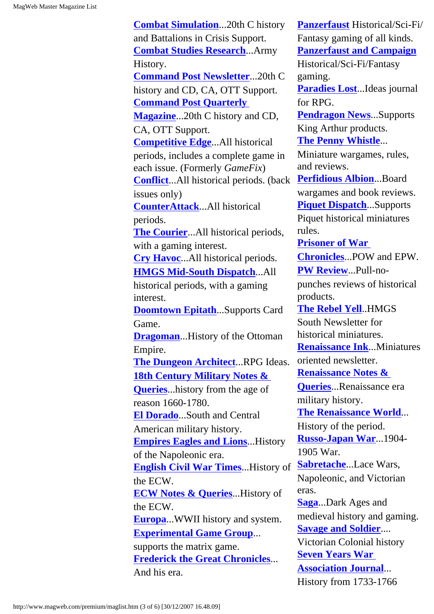**[Combat Simulation](http://www.magweb.com/premium/combat/combiss.htm)**...20th C history and Battalions in Crisis Support. **[Combat Studies Research](http://www.magweb.com/premium/csres/csriss.htm)**...Army History. **[Command Post Newsletter](http://www.magweb.com/premium/cpn/cpniss.htm)**...20th C history and CD, CA, OTT Support. **[Command Post Quarterly](http://www.magweb.com/premium/cpq/cpqiss.htm)  [Magazine](http://www.magweb.com/premium/cpq/cpqiss.htm)**...20th C history and CD, CA, OTT Support. **[Competitive Edge](http://www.magweb.com/premium/compedge/ceiss.htm)**...All historical periods, includes a complete game in each issue. (Formerly *GameFix*) **[Conflict](http://www.magweb.com/premium/conflict/confiss.htm)**...All historical periods. (back issues only) **[CounterAttack](http://www.magweb.com/premium/countera/catkiss.htm)**...All historical periods. **[The Courier](http://www.magweb.com/premium/courier/couriss.htm)**...All historical periods, with a gaming interest. **[Cry Havoc](http://www.magweb.com/premium/cryhavoc/cryiss.htm)**...All historical periods. **[HMGS Mid-South Dispatch](http://www.magweb.com/premium/dispatch/dispiss.htm)**...All historical periods, with a gaming interest. **[Doomtown Epitath](http://www.magweb.com/premium/tomb/tombiss.htm)**...Supports Card Game. **[Dragoman](http://www.magweb.com/premium/dragoman/dragiss.htm)**...History of the Ottoman Empire. **[The Dungeon Architect](http://www.magweb.com/premium/dungeona/daiss.htm)**...RPG Ideas. **[18th Century Military Notes &](http://www.magweb.com/premium/18thmil/18nqiss.htm) [Queries](http://www.magweb.com/premium/18thmil/18nqiss.htm)**...history from the age of reason 1660-1780. **[El Dorado](http://www.magweb.com/premium/eldorado/eldiss.htm)**...South and Central American military history. **[Empires Eagles and Lions](http://www.magweb.com/premium/eel/eeliss.htm)**...History of the Napoleonic era. **[English Civil War Times](http://www.magweb.com/premium/ecwtimes/ecwtiss.htm)**...History of the ECW. **[ECW Notes & Queries](http://www.magweb.com/premium/ecwtimes/ecwtiss.htm)**...History of the ECW. **[Europa](http://www.magweb.com/premium/europa/euroiss.htm)**...WWII history and system. **[Experimental Game Group](http://www.magweb.com/premium/egg/eggiss.htm)**... supports the matrix game. **[Frederick the Great Chronicles](http://www.magweb.com/premium/fredgrea/frediss.htm)**... And his era.

**[Panzerfaust](http://www.magweb.com/premium/campaign/campiss.htm)** Historical/Sci-Fi/ Fantasy gaming of all kinds. **[Panzerfaust and Campaign](http://www.magweb.com/premium/campaign/campiss.htm)** Historical/Sci-Fi/Fantasy gaming. **[Paradies Lost](http://www.magweb.com/premium/paradies/arviss.htm)**...Ideas journal for RPG. **[Pendragon News](http://www.magweb.com/premium/greenkn/gkiss.htm)**...Supports King Arthur products. **[The Penny Whistle](http://www.magweb.com/premium/penny/ldpwiss.htm)**... Miniature wargames, rules, and reviews. **[Perfidious Albion](http://www.magweb.com/premium/perfalb/paiss.htm)**...Board wargames and book reviews. **[Piquet Dispatch](http://www.magweb.com/premium/piquetd/pdiss.htm)**...Supports Piquet historical miniatures rules. **[Prisoner of War](http://www.magweb.com/premium/powepw/powiss.htm)  [Chronicles](http://www.magweb.com/premium/powepw/powiss.htm)**...POW and EPW. **[PW Review](http://www.magweb.com/premium/pwreview/pwiss.htm)**...Pull-nopunches reviews of historical products. **[The Rebel Yell](http://www.magweb.com/premium/rebelyel/yelliss.htm)**..HMGS South Newsletter for historical miniatures. **[Renaissance Ink](http://www.magweb.com/premium/rinkiss/rinkiss.htm)**...Miniatures oriented newsletter. **[Renaissance Notes &](http://www.magweb.com/premium/rennote/renotiss.htm)  [Queries](http://www.magweb.com/premium/rennote/renotiss.htm)**...Renaissance era military history. **[The Renaissance World](http://www.magweb.com/premium/renworld/renwiss.htm)**... History of the period. **[Russo-Japan War](http://www.magweb.com/premium/russojap/rujaiss.htm)**...1904- 1905 War. **[Sabretache](http://www.magweb.com/premium/sabretac/sabreiss.htm)**...Lace Wars, Napoleonic, and Victorian eras. **[Saga](http://www.magweb.com/premium/saga/sagaiss.htm)**...Dark Ages and medieval history and gaming. **[Savage and Soldier](http://www.magweb.com/premium/savage/savaiss.htm)**.... Victorian Colonial history **[Seven Years War](http://www.magweb.com/premium/7ywaj/7ywaiss.htm)  [Association Journal](http://www.magweb.com/premium/7ywaj/7ywaiss.htm)**... History from 1733-1766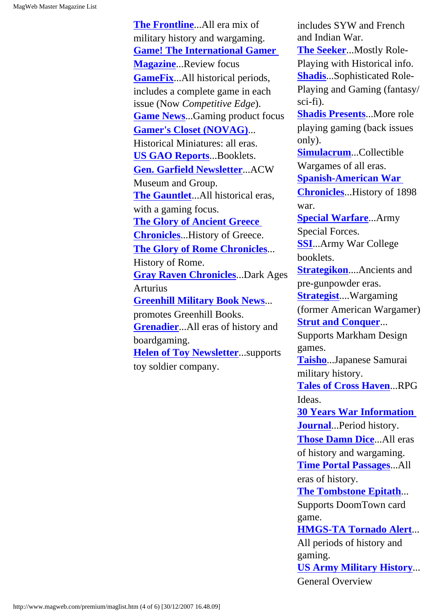**[The Frontline](http://www.magweb.com/premium/front/froniss.htm)**...All era mix of military history and wargaming. **[Game! The International Gamer](http://www.magweb.com/premium/gamemag/ggiss.htm)  [Magazine](http://www.magweb.com/premium/gamemag/ggiss.htm)**...Review focus **[GameFix](http://www.magweb.com/premium/compedge/ceiss.htm)**...All historical periods, includes a complete game in each issue (Now *Competitive Edge*). **[Game News](http://www.magweb.com/premium/gamenews/gniss.htm)**...Gaming product focus **[Gamer's Closet \(NOVAG\)](http://www.magweb.com/premium/novaggc/novagiss.htm)**... Historical Miniatures: all eras. **[US GAO Reports](http://www.magweb.com/premium/gao/gaoiss.htm)**...Booklets. **[Gen. Garfield Newsletter](http://www.magweb.com/premium/garfield/garfiss.htm)**...ACW Museum and Group. **[The Gauntlet](http://www.magweb.com/premium/gauntlet/guaniss.htm)**...All historical eras, with a gaming focus. **[The Glory of Ancient Greece](http://www.magweb.com/premium/glorygre/ggreiss.htm)  [Chronicles](http://www.magweb.com/premium/glorygre/ggreiss.htm)**...History of Greece. **[The Glory of Rome Chronicles](http://www.magweb.com/premium/gloryrom/gloriss.htm)**... History of Rome. **[Gray Raven Chronicles](http://www.magweb.com/premium/grayrave/grayiss.htm)**...Dark Ages Arturius **[Greenhill Military Book News](http://www.magweb.com/premium/gmbn/gmbniss.htm)**... promotes Greenhill Books. **[Grenadier](http://www.magweb.com/premium/grenad/greniss.htm)**...All eras of history and boardgaming. **[Helen of Toy Newsletter](http://www.magweb.com/premium/helentoy/htoyiss.htm)**...supports toy soldier company.

includes SYW and French and Indian War. **[The Seeker](http://www.magweb.com/premium/seeker/seekiss.htm)**...Mostly Role-Playing with Historical info. **[Shadis](http://www.magweb.com/premium/shadis/shadiss.htm)**...Sophisticated Role-Playing and Gaming (fantasy/ sci-fi). **[Shadis Presents](http://www.magweb.com/premium/shadpres/spiss.htm)**...More role playing gaming (back issues only). **[Simulacrum](http://www.magweb.com/premium/simula/simuiss.htm)**...Collectible Wargames of all eras. **[Spanish-American War](http://www.magweb.com/premium/spanamer/spamiss.htm)  [Chronicles](http://www.magweb.com/premium/spanamer/spamiss.htm)**...History of 1898 war. **[Special Warfare](http://www.magweb.com/premium/specwarf/spcwiss.htm)**...Army Special Forces. **[SSI](http://www.magweb.com/premium/ssi/ssiiss.htm)**...Army War College booklets. **[Strategikon](http://www.magweb.com/premium/strateg/skoniss.htm)**....Ancients and pre-gunpowder eras. **[Strategist](http://www.magweb.com/premium/awa/awaiss.htm)**....Wargaming (former American Wargamer) **[Strut and Conquer](http://www.magweb.com/premium/strut/struiss.htm)**... Supports Markham Design games. **[Taisho](http://www.magweb.com/premium/taisho/taishiss.htm)**...Japanese Samurai military history. **[Tales of Cross Haven](http://www.magweb.com/premium/tales/taleiss.htm)**...RPG Ideas. **[30 Years War Information](http://www.magweb.com/premium/30ywij/30ywiss.htm) [Journal](http://www.magweb.com/premium/30ywij/30ywiss.htm)**...Period history. **[Those Damn Dice](http://www.magweb.com/premium/tdd/tddiss.htm)**...All eras of history and wargaming. **[Time Portal Passages](http://www.magweb.com/premium/tpp/tppiss.htm)**...All eras of history. **[The Tombstone Epitath](http://www.magweb.com/premium/tomb/tombiss.htm)**... Supports DoomTown card game. **[HMGS-TA Tornado Alert](http://www.magweb.com/premium/tornado/torniss.htm)**... All periods of history and gaming. **[US Army Military History](http://www.magweb.com/premium/usarmymh/usariss.htm)**... General Overview

http://www.magweb.com/premium/maglist.htm (4 of 6) [30/12/2007 16.48.09]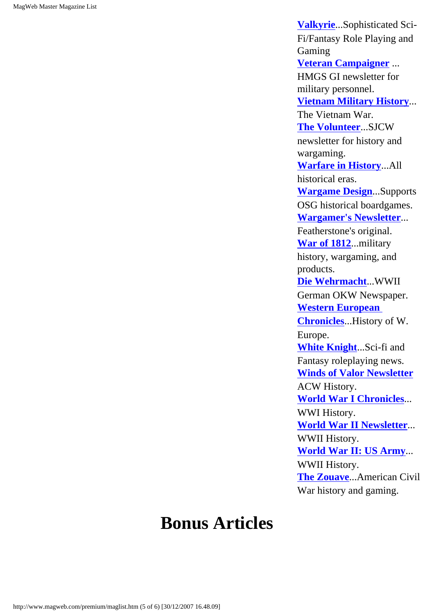**[Valkyrie](http://www.magweb.com/premium/valkyrie/vkiss.htm)**...Sophisticated Sci-Fi/Fantasy Role Playing and Gaming **[Veteran Campaigner](http://www.magweb.com/premium/vetcamp/vciss.htm)** ... HMGS GI newsletter for military personnel. **[Vietnam Military History](http://www.magweb.com/premium/vietnam/vietiss.htm)**... The Vietnam War. **[The Volunteer](http://www.magweb.com/premium/sjcw/sjcwiss.htm)**...SJCW newsletter for history and wargaming. **[Warfare in History](http://www.magweb.com/premium/warinhis/wyiss.htm)**...All historical eras. **[Wargame Design](http://www.magweb.com/premium/wargdes/wdiss.htm)**...Supports OSG historical boardgames. **[Wargamer's Newsletter](http://www.magweb.com/premium/wargnews/wgnliss.htm)**... Featherstone's original. **[War of 1812](http://www.magweb.com/premium/1812mag/w8iss.htm)**...military history, wargaming, and products. **[Die Wehrmacht](http://www.magweb.com/premium/wehrmach/wehriss.htm)**...WWII German OKW Newspaper. **[Western European](http://www.magweb.com/premium/wechron/wechiss.htm)  [Chronicles](http://www.magweb.com/premium/wechron/wechiss.htm)**...History of W. Europe. **[White Knight](http://www.magweb.com/premium/whitekni/wkiss.htm)**...Sci-fi and Fantasy roleplaying news. **[Winds of Valor Newsletter](http://www.magweb.com/premium/windsofv/woviss.htm)** ACW History. **[World War I Chronicles](http://www.magweb.com/premium/ww1chron/ww1ciss.htm)**... WWI History. **[World War II Newsletter](http://www.magweb.com/premium/ww2news/ww2niss.htm)**... WWII History. **[World War II: US Army](http://www.magweb.com/premium/ww2usarm/wwariss.htm)**... WWII History. **[The Zouave](http://www.magweb.com/premium/zouave/zouviss.htm)**...American Civil War history and gaming.

## **Bonus Articles**